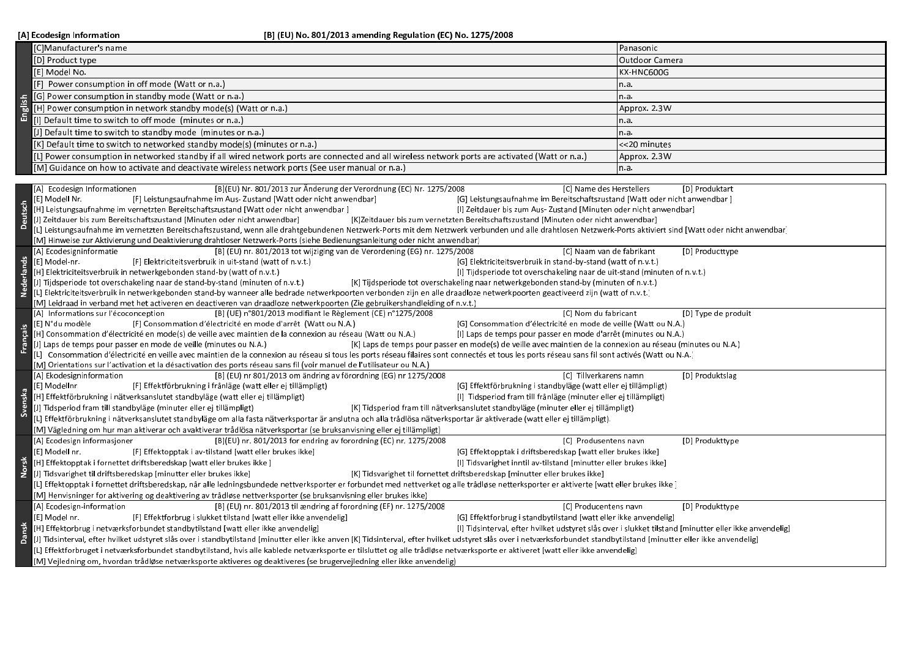[A] Ecodesign Information

|                   | C]Manufacturer's name                                                                                                                                                                                                                                                                                                     | Panasonic           |  |  |  |
|-------------------|---------------------------------------------------------------------------------------------------------------------------------------------------------------------------------------------------------------------------------------------------------------------------------------------------------------------------|---------------------|--|--|--|
|                   | [D] Product type                                                                                                                                                                                                                                                                                                          | lOutdoor Camera     |  |  |  |
|                   | [E] Model No.                                                                                                                                                                                                                                                                                                             | KX-HNC600G          |  |  |  |
|                   | [F] Power consumption in off mode (Watt or n.a.)                                                                                                                                                                                                                                                                          | n.a.                |  |  |  |
|                   | [G] Power consumption in standby mode (Watt or n.a.)                                                                                                                                                                                                                                                                      | n.a.                |  |  |  |
|                   | [H] Power consumption in network standby mode(s) (Watt or n.a.)                                                                                                                                                                                                                                                           | Approx. 2.3W        |  |  |  |
|                   | [1] Default time to switch to off mode (minutes or n.a.)                                                                                                                                                                                                                                                                  | n.a.                |  |  |  |
|                   | [J] Default time to switch to standby mode (minutes or n.a.)                                                                                                                                                                                                                                                              | n.a.                |  |  |  |
|                   | [K] Default time to switch to networked standby mode(s) (minutes or n.a.                                                                                                                                                                                                                                                  | <<20 minutes        |  |  |  |
|                   |                                                                                                                                                                                                                                                                                                                           |                     |  |  |  |
|                   | [L] Power consumption in networked standby if all wired network ports are connected and all wireless network ports are activated (Watt or n.a.)<br>(M) Guidance on how to activate and deactivate wireless network ports (See user manual or n.a.)                                                                        | Approx. 2.3W        |  |  |  |
|                   |                                                                                                                                                                                                                                                                                                                           | n.a.                |  |  |  |
|                   | [B](EU) Nr. 801/2013 zur Änderung der Verordnung (EC) Nr. 1275/2008<br>[C] Name des Herstellers<br>[D] Produktart<br>[A] Ecodesign Informationen                                                                                                                                                                          |                     |  |  |  |
|                   | [E] Modell Nr.<br>[F] Leistungsaufnahme im Aus-Zustand [Watt oder nicht anwendbar]<br>[G] Leistungsaufnahme im Bereitschaftszustand [Watt oder nicht anwendbar]                                                                                                                                                           |                     |  |  |  |
| <b>Deutsch</b>    | [H] Leistungsaufnahme im vernetzten Bereitschaftszustand [Watt oder nicht anwendbar ]<br>[I] Zeitdauer bis zum Aus-Zustand [Minuten oder nicht anwendbar]                                                                                                                                                                 |                     |  |  |  |
|                   | [J] Zeitdauer bis zum Bereitschaftszustand [Minuten oder nicht anwendbar]<br>[K]Zeitdauer bis zum vernetzten Bereitschaftszustand [Minuten oder nicht anwendbar]                                                                                                                                                          |                     |  |  |  |
|                   | [L] Leistungsaufnahme im vernetzten Bereitschaftszustand, wenn alle drahtgebundenen Netzwerk-Ports mit dem Netzwerk verbunden und alle drahtlosen Netzwerk-Ports aktiviert sind [Watt oder nicht anwendbar]                                                                                                               |                     |  |  |  |
|                   | [M] Hinweise zur Aktivierung und Deaktivierung drahtloser Netzwerk-Ports (siehe Bedienungsanleitung oder nicht anwendbar)                                                                                                                                                                                                 |                     |  |  |  |
|                   | [B] (EU) nr. 801/2013 tot wijziging van de Verordening (EG) nr. 1275/2008<br>[A] Ecodesigninformatie<br>[C] Naam van de fabrikant                                                                                                                                                                                         | [D] Producttype     |  |  |  |
|                   | [E] Model-nr.<br>[G] Elektriciteitsverbruik in stand-by-stand (watt of n.v.t.)<br>[F] Elektriciteitsverbruik in uit stand (watt of n.v.t.)                                                                                                                                                                                |                     |  |  |  |
|                   | [H] Elektriciteitsverbruik in netwerkgebonden stand-by (watt of n.v.t.)<br>[1] Tijdsperiode tot overschakeling naar de uit-stand (minuten of n.v.t.)                                                                                                                                                                      |                     |  |  |  |
| <b>Nederlands</b> | [J] Tijdsperiode tot overschakeling naar de stand-by-stand (minuten of n.v.t.)<br>[K] Tijdsperiode tot overschakeling naar netwerkgebonden stand-by (minuten of n.v.t.)                                                                                                                                                   |                     |  |  |  |
|                   | [L] Elektriciteitsverbruik in netwerkgebonden stand-by wanneer alle bedrade netwerkpoorten verbonden zijn en alle draadloze netwerkpoorten geactiveerd zijn (watt of n.v.t.)                                                                                                                                              |                     |  |  |  |
|                   | [M] Leidraad in verband met het activeren en deactiveren van draadloze netwerkpoorten (Zie gebruikershandleiding of n.v.t.)                                                                                                                                                                                               |                     |  |  |  |
|                   | [B] (UE) n°801/2013 modifiant le Règlement (CE) n°1275/2008<br>[A] Informations sur l'écoconception<br>[C] Nom du fabricant                                                                                                                                                                                               | [D] Type de produit |  |  |  |
|                   | [E] N°du modèle<br>[F] Consommation d'électricité en mode d'arrêt (Watt ou N.A.)<br>[G] Consommation d'électricité en mode de veille (Watt ou N.A.)                                                                                                                                                                       |                     |  |  |  |
| Français          | [H] Consommation d'électricité en mode(s) de veille avec maintien de la connexion au réseau (Watt ou N.A.)<br>[I] Laps de temps pour passer en mode d'arrêt (minutes ou N.A.)                                                                                                                                             |                     |  |  |  |
|                   | [J] Laps de temps pour passer en mode de veille (minutes ou N.A.)<br>[K] Laps de temps pour passer en mode(s) de veille avec maintien de la connexion au réseau (minutes ou N.A.)                                                                                                                                         |                     |  |  |  |
|                   | [1] Consommation d'électricité en veille avec maintien de la connexion au réseau si tous les ports réseau filaires sont connectés et tous les ports réseau sans fil sont activés (Watt ou N.A.)<br>[M] Orientations sur l'activation et la désactivation des ports réseau sans fil (voir manuel de l'utilisateur ou N.A.) |                     |  |  |  |
|                   | [A] Ekodesigninformation<br>[B] (EU) nr 801/2013 om ändring av förordning (EG) nr 1275/2008<br>[C] Tillverkarens namn                                                                                                                                                                                                     | [D] Produktslag     |  |  |  |
|                   | [E] Modelinr<br>[F] Effektförbrukning i frånläge (watt eller ej tillämpligt)<br>[G] Effektförbrukning i standbyläge (watt eller ej tillämpligt)                                                                                                                                                                           |                     |  |  |  |
|                   | [H] Effektförbrukning i nätverksanslutet standbyläge (watt eller ej tillämpligt)<br>[I] Tidsperiod fram till frånläge (minuter eller ej tillämpligt)                                                                                                                                                                      |                     |  |  |  |
|                   | [J] Tidsperiod fram till standbyläge (minuter eller ej tillämpligt)<br>[K] Tidsperiod fram till nätverksanslutet standbyläge (minuter eller ej tillämpligt)                                                                                                                                                               |                     |  |  |  |
|                   | [L] Effektförbrukning i nätverksanslutet standbyläge om alla fasta nätverksportar är anslutna och alla trådlösa nätverksportar är aktiverade (watt eller ej tillämpligt).                                                                                                                                                 |                     |  |  |  |
|                   | [M] Vägledning om hur man aktiverar och avaktiverar trådlösa nätverksportar (se bruksanvisning eller ej tillämpligt)                                                                                                                                                                                                      |                     |  |  |  |
|                   | [B](EU) nr. 801/2013 for endring av forordning (EC) nr. 1275/2008<br>[A] Ecodesign informasjoner<br>[C] Produsentens navn                                                                                                                                                                                                 | [D] Produkttype     |  |  |  |
|                   | [E] Modell nr.<br>[G] Effektopptak i driftsberedskap [watt eller brukes ikke]<br>[F] Effektopptak i av-tilstand [watt eller brukes ikke]                                                                                                                                                                                  |                     |  |  |  |
|                   | [H] Effektopptak i fornettet driftsberedskap [watt eller brukes ikke ]<br>[I] Tidsvarighet inntil av tilstand [minutter eller brukes ikke]                                                                                                                                                                                |                     |  |  |  |
|                   | [J] Tidsvarighet til driftsberedskap [minutter eller brukes ikke]<br>[K] Tidsvarighet til fornettet driftsberedskap [minutter eller brukes ikke]                                                                                                                                                                          |                     |  |  |  |
|                   | [L] Effektopptak i fornettet driftsberedskap, når alle ledningsbundede nettverksporter er forbundet med nettverket og alle trådløse netterksporter er aktiverte [watt eller brukes ikke]                                                                                                                                  |                     |  |  |  |
|                   | [M] Henvisninger for aktivering og deaktivering av trådløse nettverksporter (se bruksanvisning eller brukes ikke)                                                                                                                                                                                                         |                     |  |  |  |
|                   | [B] (EU) nr. 801/2013 til ændring af forordning (EF) nr. 1275/2008<br>[A] Ecodesign-information<br>[C] Producentens navn                                                                                                                                                                                                  | [D] Produkttype     |  |  |  |
|                   | [E] Model nr.<br>[F] Effektforbrug i slukket tilstand [watt eller ikke anvendelig]<br>[G] Effektforbrug i stand bytilstand [watt eller ikke anvendelig]                                                                                                                                                                   |                     |  |  |  |
|                   | [H] Effektorbrug i netværksforbundet standbytilstand [watt eller ikke anvendelig]<br>[I] Tidsinterval, efter hvilket udstyret slås over i slukket tilstand [minutter eller ikke anvendelig]                                                                                                                               |                     |  |  |  |
|                   | [J] Tidsinterval, efter hvilket udstyret slås over i standbytilstand [minutter eller ikke anven [K] Tidsinterval, efter hvilket udstyret slås over i netværksforbundet standbytilstand [minutter eller ikke anvendelig]                                                                                                   |                     |  |  |  |
|                   | [L] Effektforbruget i netværksforbundet standbytilstand, hvis alle kablede netværksporte er tilsluttet og alle trådløse netværksporte er aktiveret [watt eller ikke anvendelig]                                                                                                                                           |                     |  |  |  |
|                   | [M] Vejledning om, hvordan trådløse netværksporte aktiveres og deaktiveres (se brugervejledning eller ikke anvendelig)                                                                                                                                                                                                    |                     |  |  |  |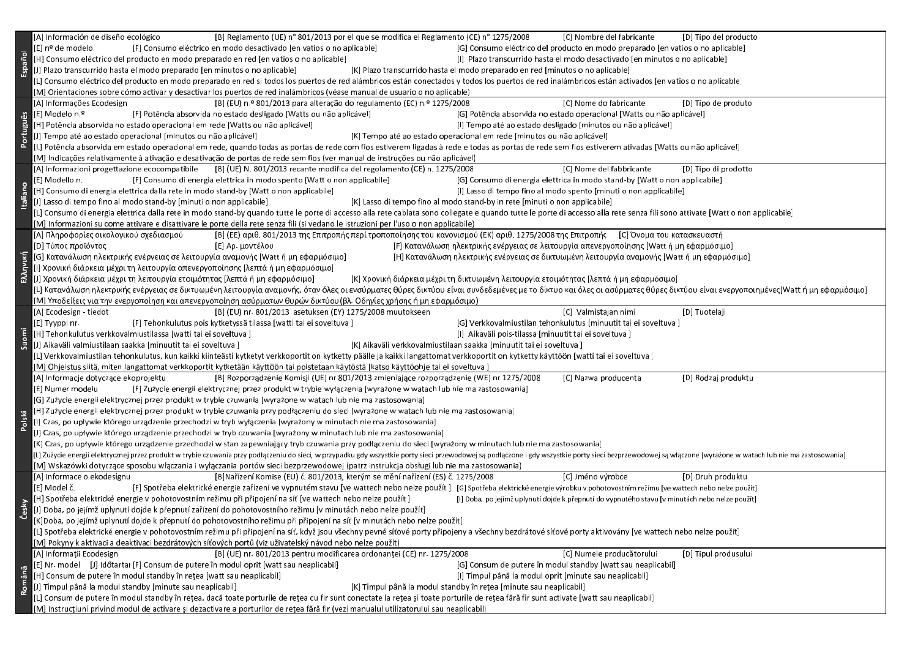|           | [A] Información de diseño ecológico<br>[B] Reglamento (UE) n° 801/2013 por el que se modifica el Reglamento (CE) n° 1275/2008<br>[C] Nombre del fabricante<br>[D] Tipo del producto                                                                                                             |  |  |  |  |
|-----------|-------------------------------------------------------------------------------------------------------------------------------------------------------------------------------------------------------------------------------------------------------------------------------------------------|--|--|--|--|
|           | [E] nº de modelo<br>[F] Consumo eléctrico en modo desactivado [en vatios o no aplicable]<br>[G] Consumo eléctrico del producto en modo preparado [en vatios o no aplicable]                                                                                                                     |  |  |  |  |
|           | [H] Consumo eléctrico del producto en modo preparado en red [en vatios o no aplicable]<br>[I] Plazo transcurrido hasta el modo desactivado [en minutos o no aplicable]                                                                                                                          |  |  |  |  |
| Español   | [J] Plazo transcurrido hasta el modo preparado [en minutos o no aplicable]<br>[K] Plazo transcurrido hasta el modo preparado en red [minutos o no aplicable]                                                                                                                                    |  |  |  |  |
|           | L] Consumo eléctrico del producto en modo preparado en red si todos los puertos de red alámbricos están conectados y todos los puertos de red inalámbricos están activados [en vatios o no aplicable]                                                                                           |  |  |  |  |
|           | [M] Orientaciones sobre cómo activar y desactivar los puertos de red inalámbricos (véase manual de usuario o no aplicable)                                                                                                                                                                      |  |  |  |  |
|           | [A] Informações Ecodesign<br>[B] (EU) n.º 801/2013 para alteração do regulamento (EC) n.º 1275/2008<br>[C] Nome do fabricante<br>[D] Tipo de produto                                                                                                                                            |  |  |  |  |
|           | [E] Modelo n.º<br>[F] Potência absorvida no estado desligado [Watts ou não aplicável]<br>[G] Potência absorvida no estado operacional [Watts ou não aplicável]                                                                                                                                  |  |  |  |  |
| Português | [H] Potência absorvida no estado operacional em rede [Watts ou não aplicável]<br>[I] Tempo até ao estado desligado [minutos ou não aplicável]                                                                                                                                                   |  |  |  |  |
|           | [J] Tempo até ao estado operacional [minutos ou não aplicável]<br>[K] Tempo até ao estado operacional em rede [minutos ou não aplicável]                                                                                                                                                        |  |  |  |  |
|           | [L] Potência absorvida em estado operacional em rede, quando todas as portas de rede com fios estiverem ligadas à rede e todas as portas de rede sem fios estiverem ativadas [Watts ou não aplicável]                                                                                           |  |  |  |  |
|           | [M] Indicações relativamente à ativação e desativação de portas de rede sem fios (ver manual de instruções ou não aplicável)                                                                                                                                                                    |  |  |  |  |
|           | [A] Informazioni progettazione ecocompatibile [B] (UE) N. 801/2013 recante modifica del regolamento (CE) n. 1275/2008<br>[C] Nome del fabbricante<br>[D] Tipo di prodotto                                                                                                                       |  |  |  |  |
|           | [G] Consumo di energia elettrica in modo stand-by [Watt o non applicabile]<br>[E] Modello n.<br>[F] Consumo di energia elettrica in modo spento [Watt o non applicabile]                                                                                                                        |  |  |  |  |
| taliano   | [H] Consumo di energia elettrica dalla rete in modo stand-by [Watt o non applicabile]<br>[I] Lasso di tempo fino al modo spento [minuti o non applicabile]                                                                                                                                      |  |  |  |  |
|           | [J] Lasso di tempo fino al modo stand-by [minuti o non applicabile]<br>[K] Lasso di tempo fino al modo stand-by in rete [minuti o non applicabile]                                                                                                                                              |  |  |  |  |
|           | [L] Consumo di energia elettrica dalla rete in modo stand-by quando tutte le porte di accesso alla rete cablata sono collegate e quando tutte le porte di accesso alla rete senza fili sono attivate [Watt o non applicabile]                                                                   |  |  |  |  |
|           | [M] Informazioni su come attivare e disattivare le porte della rete senza fili (si vedano le istruzioni per l'uso o non applicabile)                                                                                                                                                            |  |  |  |  |
|           | [Α] Πληροφορίες οικολογικού σχεδιασμού<br>[B] (EE) αριθ. 801/2013 της Επιτροπής περί τροποποίησης του κανονισμού (EK) αριθ. 1275/2008 της Επιτροπής [C] Όνομα του κατασκευαστή                                                                                                                  |  |  |  |  |
|           | [D] Τύπος προϊόντος<br>[Ε] Αρ. μοντέλου<br>[F] Κατανάλωση ηλεκτρικής ενέργειας σε λειτουργία απενεργοποίησης [Watt ή μη εφαρμόσιμο]                                                                                                                                                             |  |  |  |  |
|           | [G] Κατανάλωση ηλεκτρικής ενέργειας σε λειτουργία αναμονής [Watt ή μη εφαρμόσιμο]<br>[Η] Κατανάλωση ηλεκτρικής ενέργειας σε δικτυωμένη λειτουργία αναμονής [Watt ή μη εφαρμόσιμο]                                                                                                               |  |  |  |  |
| Ελληνική  | [Ι] Χρονική διάρκεια μέχρι τη λειτουργία απενεργοποίησης [λεπτά ή μη εφαρμόσιμο]                                                                                                                                                                                                                |  |  |  |  |
|           | [J] Χρονική διάρκεια μέχρι τη λειτουργία ετοιμότητας [λεπτά ή μη εφαρμόσιμο]<br>[K] Χρονική διάρκεια μέχρι τη δικτυωμένη λειτουργία ετοιμότητας [λεπτά ή μη εφαρμόσιμο]                                                                                                                         |  |  |  |  |
|           | [L] Κατανάλωση ηλεκτρικής ενέργειας σε δικτυωμένη λειτουργία αναμονής, όταν όλες οι ενσύρματες θύρες δικτύου είναι συνδεδεμένες με το δίκτυο και όλες οι ασύρματες θύρες δικτύου είναι ενεργοποιημένες[Watt ή μη εφαρμόσιμο]                                                                    |  |  |  |  |
|           | [M] Υποδείξεις για την ενεργοποίηση και απενεργοποίηση ασύρματων θυρών δικτύου (βλ. Οδηγίες χρήσης ή μη εφαρμόσιμο)                                                                                                                                                                             |  |  |  |  |
|           | [B] (EU) nr. 801/2013 asetuksen (EY) 1275/2008 muutokseen<br>[A] Ecodesign - tied ot<br>[C] Valmistajan nimi<br>[D] Tuotelaji                                                                                                                                                                   |  |  |  |  |
|           | [E] Tyyppi nr.<br>[F] Tehonkulutus pois kytketyssä tilassa [watti tai ei soveltuva]<br>[G] Verkkovalmiustilan tehonkulutus [minuutit tai ei soveltuva]                                                                                                                                          |  |  |  |  |
| juomi     | [H] Tehonkulutus verkkovalmiustilassa [watti tai ei soveltuva ]<br>[I] Aikaväli pois-tilassa [minuutit tai ei soveltuva]                                                                                                                                                                        |  |  |  |  |
|           | [J] Aikaväli valmiustilaan saakka [minuutit tai ei soveltuva]<br>[K] Aikaväli verkkovalmiustilaan saakka [minuutit tai ei soveltuva]                                                                                                                                                            |  |  |  |  |
|           | [L] Verkkovalmiustilan tehonkulutus, kun kaikki kiinteästi kytketyt verkkoportit on kytketty päälle ja kaikki langattomat verkkoportit on kytketty käyttöön [watti tai ei soveltuva ]                                                                                                           |  |  |  |  |
|           | [M] Ohjeistus siitä, miten langattomat verkkoportit kytketään käyttöön tai poistetaan käytöstä [katso käyttöohje tai ei soveltuva]                                                                                                                                                              |  |  |  |  |
|           | [D] Rodzaj produktu<br>[A] Informacje dotyczące ekoprojektu<br>[B] Rozporządzenie Komisji (UE) nr 801/2013 zmieniające rozporządzenie (WE) nr 1275/2008<br>[C] Nazwa producenta                                                                                                                 |  |  |  |  |
|           | [E] Numer modelu<br>[F] Zużycie energii elektrycznej przez produkt w trybie wyłączenia [wyrażone w watach lub nie ma zastosowania]                                                                                                                                                              |  |  |  |  |
|           | [G] Zużycie energii elektrycznej przez produkt w trybie czuwania [wyrażone w watach lub nie ma zastosowania]                                                                                                                                                                                    |  |  |  |  |
|           | [H] Zużycie energii elektrycznej przez produkt w trybie czuwania przy podłączeniu do sieci [wyrażone w watach lub nie ma zastosowania]                                                                                                                                                          |  |  |  |  |
| Polski    | [I] Czas, po upływie którego urządzenie przechodzi w tryb wyłączenia [wyrażony w minutach nie ma zastosowania]                                                                                                                                                                                  |  |  |  |  |
|           | [J] Czas, po upływie którego urządzenie przechodzi w tryb czuwania [wyrażony w minutach lub nie ma zastosowania]                                                                                                                                                                                |  |  |  |  |
|           | [K] Czas, po upływie którego urządzenie przechodzi w stan zapewniający tryb czuwania przy podłączeniu do sieci [wyrażony w minutach lub nie ma zastosowania]                                                                                                                                    |  |  |  |  |
|           | [L] Zużycie energii elektrycznej przez produkt w trybie czuwania przy podłączeniu do sieci, w przypadku gdy wszystkie porty sieci przewodowej są podłączone i gdy wszystkie porty sieci bezprzewodowej są włączone [wyrażone w                                                                  |  |  |  |  |
|           | [M] Wskazówki dotyczące sposobu włączania i wyłączania portów sieci bezprzewodowej (patrz instrukcja obsługi lub nie ma zastosowania)<br>[A] Informace o ekodesignu<br>[B]Nařízení Komise (EU) č. 801/2013, kterým se mění nařízení (ES) č. 1275/2008<br>[C] Jméno výrobce<br>[D] Druh produktu |  |  |  |  |
|           | [E] Model č.<br>[F] Spotřeba elektrické energie zařízení ve vypnutém stavu [ve wattech nebo nelze použít] [G] Spotřeba elektrické energie výrobku v pohotovostním režimu [ve wattech nebo nelze použít]                                                                                         |  |  |  |  |
|           | [H] Spotřeba elektrické energie v pohotovostním režimu při připojení na síť [ve wattech nebo nelze použít ]<br>[I] Doba, po jejímž uplynutí dojde k přepnutí do vypnutého stavu [v minutách nebo nelze použít]                                                                                  |  |  |  |  |
| Česky     | [J] Doba, po jejímž uplynutí dojde k přepnutí zařízení do pohotovostního režimu [v minutách nebo nelze použít]                                                                                                                                                                                  |  |  |  |  |
|           | [K]Doba, po jejímž uplynutí dojde k přepnutí do pohotovostního režimu při připojení na síť [v minutách nebo nelze použít]                                                                                                                                                                       |  |  |  |  |
|           | [L] Spotřeba elektrické energie v pohotovostním režimu při připojení na síť, když jsou všechny pevné síťové porty připojeny a všechny bezdrátové síťové porty aktivovány [ve wattech nebo nelze použít]                                                                                         |  |  |  |  |
|           | [M] Pokyny k aktivaci a deaktivaci bezdrátových síťových portů (viz uživatelský návod nebo nelze použít)                                                                                                                                                                                        |  |  |  |  |
|           | [B] (UE) nr. 801/2013 pentru modificarea ordonanței (CE) nr. 1275/2008<br>[C] Numele producătorului<br>[A] Informatii Ecodesign<br>[D] Tipul produsului                                                                                                                                         |  |  |  |  |
|           | [E] Nr. model [J]  dőtartar [F] Consum de putere în modul oprit [watt sau neaplicabil]<br>[G] Consum de putere în modul standby [watt sau neaplicabil]                                                                                                                                          |  |  |  |  |
| Română    | [H] Consum de putere în modul standby în rețea [watt sau neaplicabil]<br>[I] Timpul până la modul oprit [minute sau neaplicabil]                                                                                                                                                                |  |  |  |  |
|           | [J] Timpul până la modul standby [minute sau neaplicabil]<br>[K] Timpul până la modul standby în rețea [minute sau neaplicabil]                                                                                                                                                                 |  |  |  |  |
|           | [L] Consum de putere în modul standby în rețea, dacă toate porturile de rețea cu fir sunt conectate la rețea și toate porturile de rețea fără fir sunt activate [watt sau neaplicabil]                                                                                                          |  |  |  |  |
|           | [M] Instrucțiuni privind modul de activare și dezactivare a porturilor de rețea fără fir (vezi manualul utilizatorului sau neaplicabil)                                                                                                                                                         |  |  |  |  |